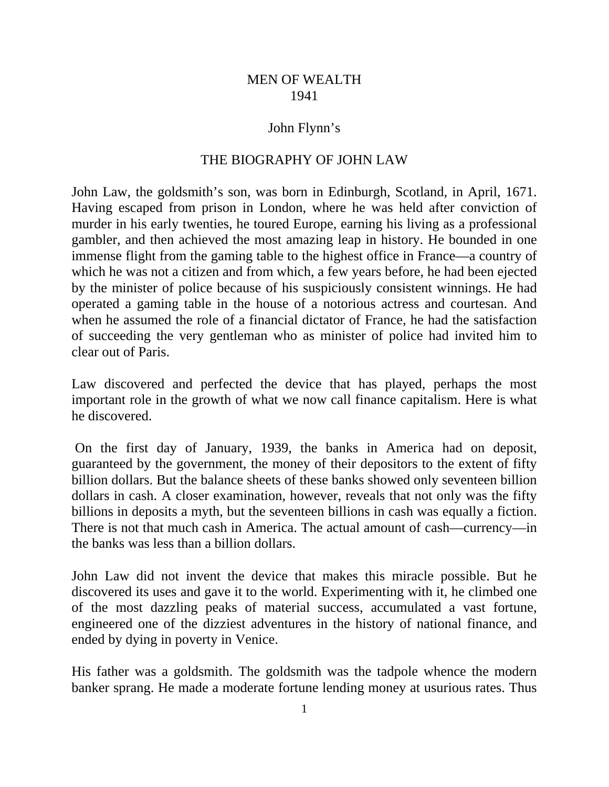# MEN OF WEALTH 1941

## John Flynn's

# THE BIOGRAPHY OF JOHN LAW

John Law, the goldsmith's son, was born in Edinburgh, Scotland, in April, 1671. Having escaped from prison in London, where he was held after conviction of murder in his early twenties, he toured Europe, earning his living as a professional gambler, and then achieved the most amazing leap in history. He bounded in one immense flight from the gaming table to the highest office in France—a country of which he was not a citizen and from which, a few years before, he had been ejected by the minister of police because of his suspiciously consistent winnings. He had operated a gaming table in the house of a notorious actress and courtesan. And when he assumed the role of a financial dictator of France, he had the satisfaction of succeeding the very gentleman who as minister of police had invited him to clear out of Paris.

Law discovered and perfected the device that has played, perhaps the most important role in the growth of what we now call finance capitalism. Here is what he discovered.

On the first day of January, 1939, the banks in America had on deposit, guaranteed by the government, the money of their depositors to the extent of fifty billion dollars. But the balance sheets of these banks showed only seventeen billion dollars in cash. A closer examination, however, reveals that not only was the fifty billions in deposits a myth, but the seventeen billions in cash was equally a fiction. There is not that much cash in America. The actual amount of cash—currency—in the banks was less than a billion dollars.

John Law did not invent the device that makes this miracle possible. But he discovered its uses and gave it to the world. Experimenting with it, he climbed one of the most dazzling peaks of material success, accumulated a vast fortune, engineered one of the dizziest adventures in the history of national finance, and ended by dying in poverty in Venice.

His father was a goldsmith. The goldsmith was the tadpole whence the modern banker sprang. He made a moderate fortune lending money at usurious rates. Thus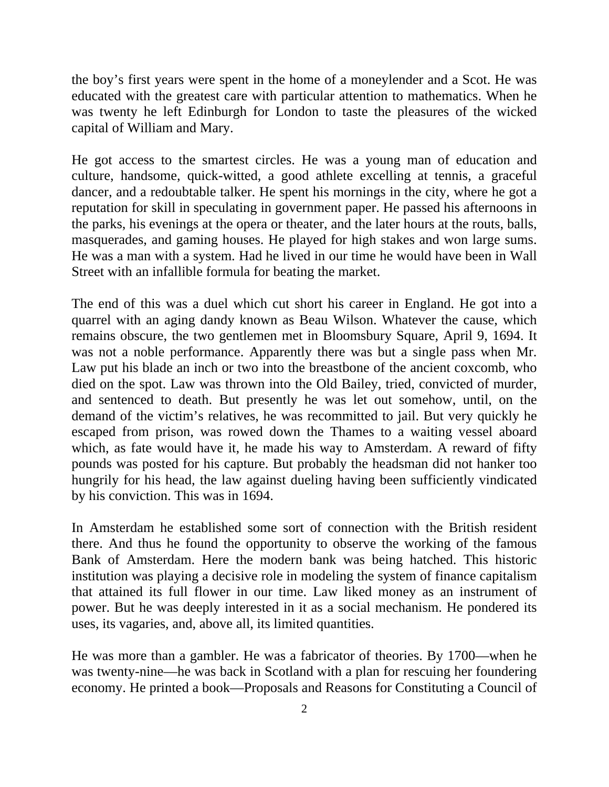the boy's first years were spent in the home of a moneylender and a Scot. He was educated with the greatest care with particular attention to mathematics. When he was twenty he left Edinburgh for London to taste the pleasures of the wicked capital of William and Mary.

He got access to the smartest circles. He was a young man of education and culture, handsome, quick-witted, a good athlete excelling at tennis, a graceful dancer, and a redoubtable talker. He spent his mornings in the city, where he got a reputation for skill in speculating in government paper. He passed his afternoons in the parks, his evenings at the opera or theater, and the later hours at the routs, balls, masquerades, and gaming houses. He played for high stakes and won large sums. He was a man with a system. Had he lived in our time he would have been in Wall Street with an infallible formula for beating the market.

The end of this was a duel which cut short his career in England. He got into a quarrel with an aging dandy known as Beau Wilson. Whatever the cause, which remains obscure, the two gentlemen met in Bloomsbury Square, April 9, 1694. It was not a noble performance. Apparently there was but a single pass when Mr. Law put his blade an inch or two into the breastbone of the ancient coxcomb, who died on the spot. Law was thrown into the Old Bailey, tried, convicted of murder, and sentenced to death. But presently he was let out somehow, until, on the demand of the victim's relatives, he was recommitted to jail. But very quickly he escaped from prison, was rowed down the Thames to a waiting vessel aboard which, as fate would have it, he made his way to Amsterdam. A reward of fifty pounds was posted for his capture. But probably the headsman did not hanker too hungrily for his head, the law against dueling having been sufficiently vindicated by his conviction. This was in 1694.

In Amsterdam he established some sort of connection with the British resident there. And thus he found the opportunity to observe the working of the famous Bank of Amsterdam. Here the modern bank was being hatched. This historic institution was playing a decisive role in modeling the system of finance capitalism that attained its full flower in our time. Law liked money as an instrument of power. But he was deeply interested in it as a social mechanism. He pondered its uses, its vagaries, and, above all, its limited quantities.

He was more than a gambler. He was a fabricator of theories. By 1700—when he was twenty-nine—he was back in Scotland with a plan for rescuing her foundering economy. He printed a book—Proposals and Reasons for Constituting a Council of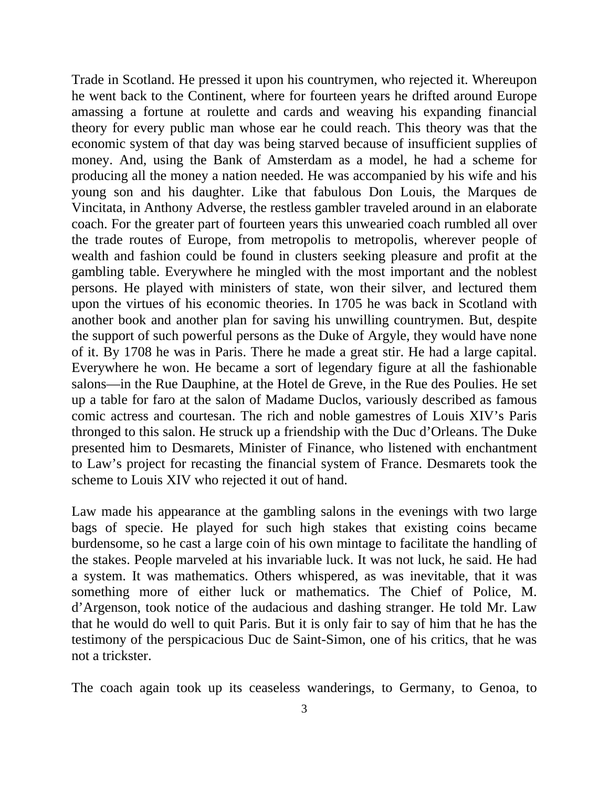Trade in Scotland. He pressed it upon his countrymen, who rejected it. Whereupon he went back to the Continent, where for fourteen years he drifted around Europe amassing a fortune at roulette and cards and weaving his expanding financial theory for every public man whose ear he could reach. This theory was that the economic system of that day was being starved because of insufficient supplies of money. And, using the Bank of Amsterdam as a model, he had a scheme for producing all the money a nation needed. He was accompanied by his wife and his young son and his daughter. Like that fabulous Don Louis, the Marques de Vincitata, in Anthony Adverse, the restless gambler traveled around in an elaborate coach. For the greater part of fourteen years this unwearied coach rumbled all over the trade routes of Europe, from metropolis to metropolis, wherever people of wealth and fashion could be found in clusters seeking pleasure and profit at the gambling table. Everywhere he mingled with the most important and the noblest persons. He played with ministers of state, won their silver, and lectured them upon the virtues of his economic theories. In 1705 he was back in Scotland with another book and another plan for saving his unwilling countrymen. But, despite the support of such powerful persons as the Duke of Argyle, they would have none of it. By 1708 he was in Paris. There he made a great stir. He had a large capital. Everywhere he won. He became a sort of legendary figure at all the fashionable salons—in the Rue Dauphine, at the Hotel de Greve, in the Rue des Poulies. He set up a table for faro at the salon of Madame Duclos, variously described as famous comic actress and courtesan. The rich and noble gamestres of Louis XIV's Paris thronged to this salon. He struck up a friendship with the Duc d'Orleans. The Duke presented him to Desmarets, Minister of Finance, who listened with enchantment to Law's project for recasting the financial system of France. Desmarets took the scheme to Louis XIV who rejected it out of hand.

Law made his appearance at the gambling salons in the evenings with two large bags of specie. He played for such high stakes that existing coins became burdensome, so he cast a large coin of his own mintage to facilitate the handling of the stakes. People marveled at his invariable luck. It was not luck, he said. He had a system. It was mathematics. Others whispered, as was inevitable, that it was something more of either luck or mathematics. The Chief of Police, M. d'Argenson, took notice of the audacious and dashing stranger. He told Mr. Law that he would do well to quit Paris. But it is only fair to say of him that he has the testimony of the perspicacious Duc de Saint-Simon, one of his critics, that he was not a trickster.

The coach again took up its ceaseless wanderings, to Germany, to Genoa, to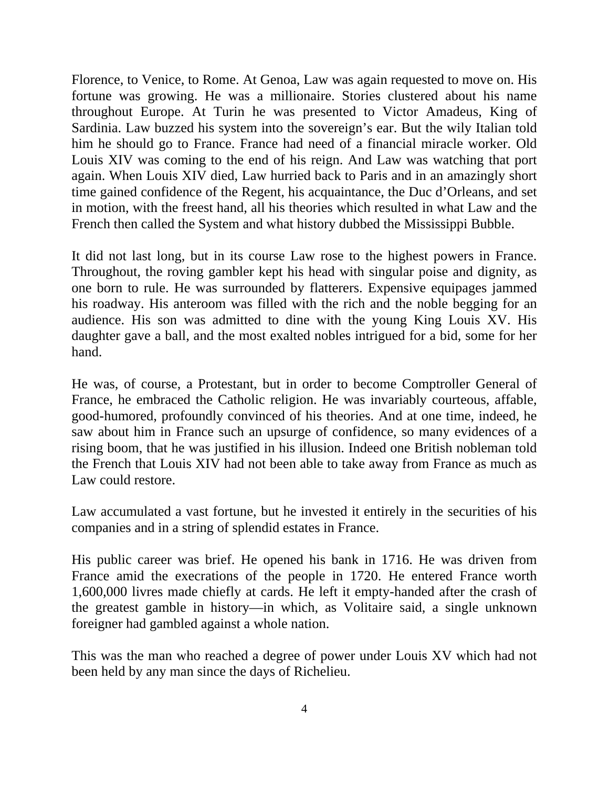Florence, to Venice, to Rome. At Genoa, Law was again requested to move on. His fortune was growing. He was a millionaire. Stories clustered about his name throughout Europe. At Turin he was presented to Victor Amadeus, King of Sardinia. Law buzzed his system into the sovereign's ear. But the wily Italian told him he should go to France. France had need of a financial miracle worker. Old Louis XIV was coming to the end of his reign. And Law was watching that port again. When Louis XIV died, Law hurried back to Paris and in an amazingly short time gained confidence of the Regent, his acquaintance, the Duc d'Orleans, and set in motion, with the freest hand, all his theories which resulted in what Law and the French then called the System and what history dubbed the Mississippi Bubble.

It did not last long, but in its course Law rose to the highest powers in France. Throughout, the roving gambler kept his head with singular poise and dignity, as one born to rule. He was surrounded by flatterers. Expensive equipages jammed his roadway. His anteroom was filled with the rich and the noble begging for an audience. His son was admitted to dine with the young King Louis XV. His daughter gave a ball, and the most exalted nobles intrigued for a bid, some for her hand.

He was, of course, a Protestant, but in order to become Comptroller General of France, he embraced the Catholic religion. He was invariably courteous, affable, good-humored, profoundly convinced of his theories. And at one time, indeed, he saw about him in France such an upsurge of confidence, so many evidences of a rising boom, that he was justified in his illusion. Indeed one British nobleman told the French that Louis XIV had not been able to take away from France as much as Law could restore.

Law accumulated a vast fortune, but he invested it entirely in the securities of his companies and in a string of splendid estates in France.

His public career was brief. He opened his bank in 1716. He was driven from France amid the execrations of the people in 1720. He entered France worth 1,600,000 livres made chiefly at cards. He left it empty-handed after the crash of the greatest gamble in history—in which, as Volitaire said, a single unknown foreigner had gambled against a whole nation.

This was the man who reached a degree of power under Louis XV which had not been held by any man since the days of Richelieu.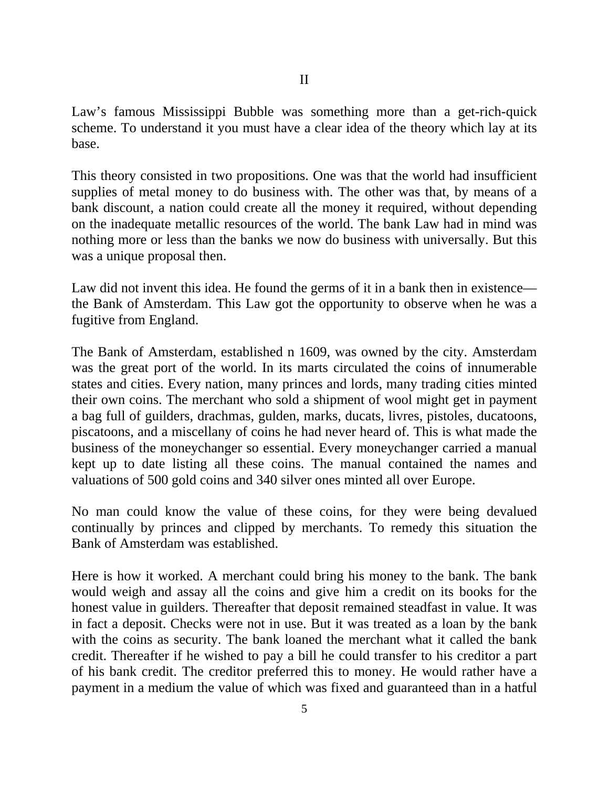Law's famous Mississippi Bubble was something more than a get-rich-quick scheme. To understand it you must have a clear idea of the theory which lay at its base.

This theory consisted in two propositions. One was that the world had insufficient supplies of metal money to do business with. The other was that, by means of a bank discount, a nation could create all the money it required, without depending on the inadequate metallic resources of the world. The bank Law had in mind was nothing more or less than the banks we now do business with universally. But this was a unique proposal then.

Law did not invent this idea. He found the germs of it in a bank then in existence the Bank of Amsterdam. This Law got the opportunity to observe when he was a fugitive from England.

The Bank of Amsterdam, established n 1609, was owned by the city. Amsterdam was the great port of the world. In its marts circulated the coins of innumerable states and cities. Every nation, many princes and lords, many trading cities minted their own coins. The merchant who sold a shipment of wool might get in payment a bag full of guilders, drachmas, gulden, marks, ducats, livres, pistoles, ducatoons, piscatoons, and a miscellany of coins he had never heard of. This is what made the business of the moneychanger so essential. Every moneychanger carried a manual kept up to date listing all these coins. The manual contained the names and valuations of 500 gold coins and 340 silver ones minted all over Europe.

No man could know the value of these coins, for they were being devalued continually by princes and clipped by merchants. To remedy this situation the Bank of Amsterdam was established.

Here is how it worked. A merchant could bring his money to the bank. The bank would weigh and assay all the coins and give him a credit on its books for the honest value in guilders. Thereafter that deposit remained steadfast in value. It was in fact a deposit. Checks were not in use. But it was treated as a loan by the bank with the coins as security. The bank loaned the merchant what it called the bank credit. Thereafter if he wished to pay a bill he could transfer to his creditor a part of his bank credit. The creditor preferred this to money. He would rather have a payment in a medium the value of which was fixed and guaranteed than in a hatful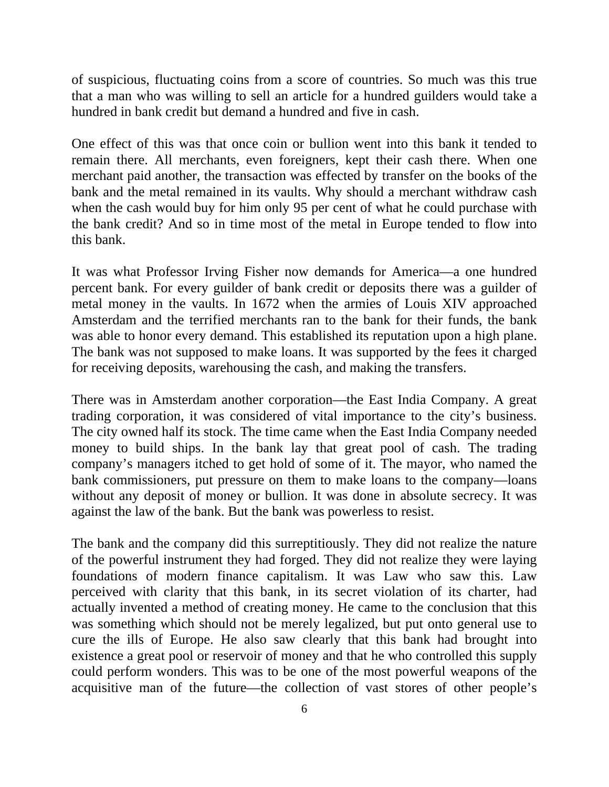of suspicious, fluctuating coins from a score of countries. So much was this true that a man who was willing to sell an article for a hundred guilders would take a hundred in bank credit but demand a hundred and five in cash.

One effect of this was that once coin or bullion went into this bank it tended to remain there. All merchants, even foreigners, kept their cash there. When one merchant paid another, the transaction was effected by transfer on the books of the bank and the metal remained in its vaults. Why should a merchant withdraw cash when the cash would buy for him only 95 per cent of what he could purchase with the bank credit? And so in time most of the metal in Europe tended to flow into this bank.

It was what Professor Irving Fisher now demands for America—a one hundred percent bank. For every guilder of bank credit or deposits there was a guilder of metal money in the vaults. In 1672 when the armies of Louis XIV approached Amsterdam and the terrified merchants ran to the bank for their funds, the bank was able to honor every demand. This established its reputation upon a high plane. The bank was not supposed to make loans. It was supported by the fees it charged for receiving deposits, warehousing the cash, and making the transfers.

There was in Amsterdam another corporation—the East India Company. A great trading corporation, it was considered of vital importance to the city's business. The city owned half its stock. The time came when the East India Company needed money to build ships. In the bank lay that great pool of cash. The trading company's managers itched to get hold of some of it. The mayor, who named the bank commissioners, put pressure on them to make loans to the company—loans without any deposit of money or bullion. It was done in absolute secrecy. It was against the law of the bank. But the bank was powerless to resist.

The bank and the company did this surreptitiously. They did not realize the nature of the powerful instrument they had forged. They did not realize they were laying foundations of modern finance capitalism. It was Law who saw this. Law perceived with clarity that this bank, in its secret violation of its charter, had actually invented a method of creating money. He came to the conclusion that this was something which should not be merely legalized, but put onto general use to cure the ills of Europe. He also saw clearly that this bank had brought into existence a great pool or reservoir of money and that he who controlled this supply could perform wonders. This was to be one of the most powerful weapons of the acquisitive man of the future—the collection of vast stores of other people's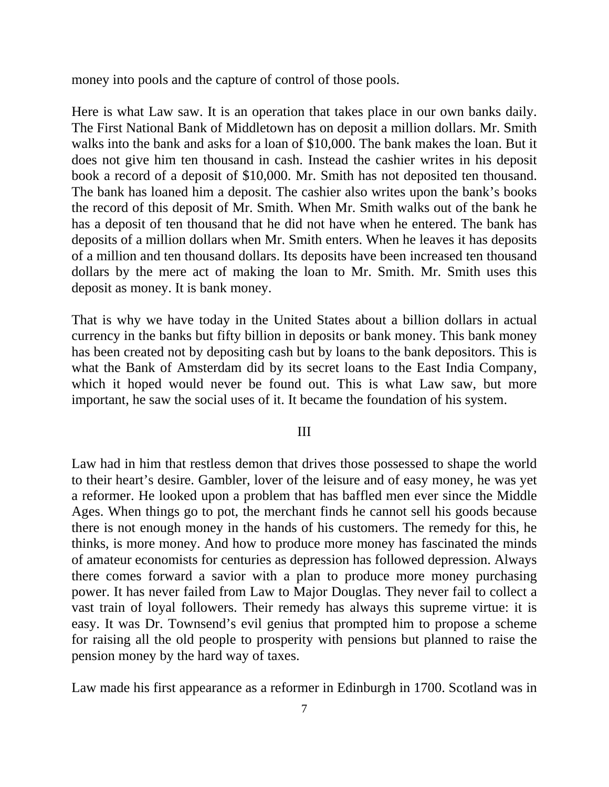money into pools and the capture of control of those pools.

Here is what Law saw. It is an operation that takes place in our own banks daily. The First National Bank of Middletown has on deposit a million dollars. Mr. Smith walks into the bank and asks for a loan of \$10,000. The bank makes the loan. But it does not give him ten thousand in cash. Instead the cashier writes in his deposit book a record of a deposit of \$10,000. Mr. Smith has not deposited ten thousand. The bank has loaned him a deposit. The cashier also writes upon the bank's books the record of this deposit of Mr. Smith. When Mr. Smith walks out of the bank he has a deposit of ten thousand that he did not have when he entered. The bank has deposits of a million dollars when Mr. Smith enters. When he leaves it has deposits of a million and ten thousand dollars. Its deposits have been increased ten thousand dollars by the mere act of making the loan to Mr. Smith. Mr. Smith uses this deposit as money. It is bank money.

That is why we have today in the United States about a billion dollars in actual currency in the banks but fifty billion in deposits or bank money. This bank money has been created not by depositing cash but by loans to the bank depositors. This is what the Bank of Amsterdam did by its secret loans to the East India Company, which it hoped would never be found out. This is what Law saw, but more important, he saw the social uses of it. It became the foundation of his system.

#### III

Law had in him that restless demon that drives those possessed to shape the world to their heart's desire. Gambler, lover of the leisure and of easy money, he was yet a reformer. He looked upon a problem that has baffled men ever since the Middle Ages. When things go to pot, the merchant finds he cannot sell his goods because there is not enough money in the hands of his customers. The remedy for this, he thinks, is more money. And how to produce more money has fascinated the minds of amateur economists for centuries as depression has followed depression. Always there comes forward a savior with a plan to produce more money purchasing power. It has never failed from Law to Major Douglas. They never fail to collect a vast train of loyal followers. Their remedy has always this supreme virtue: it is easy. It was Dr. Townsend's evil genius that prompted him to propose a scheme for raising all the old people to prosperity with pensions but planned to raise the pension money by the hard way of taxes.

Law made his first appearance as a reformer in Edinburgh in 1700. Scotland was in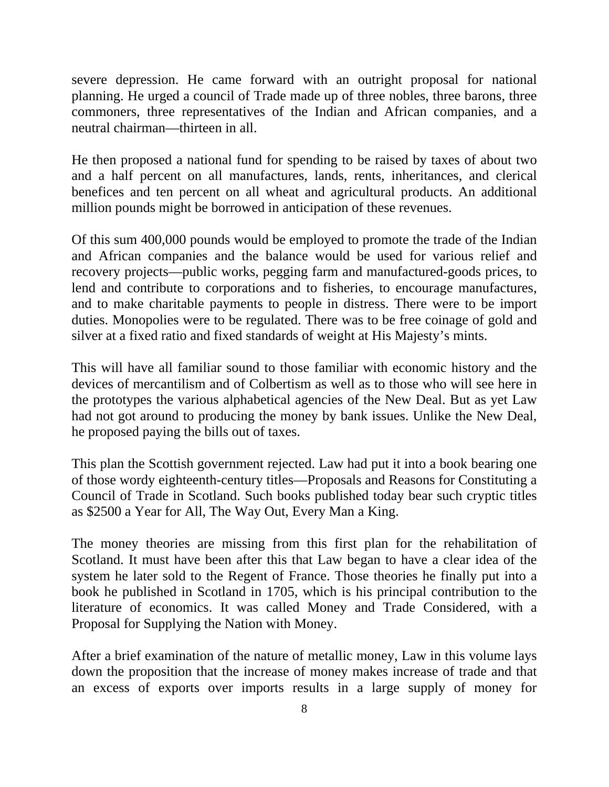severe depression. He came forward with an outright proposal for national planning. He urged a council of Trade made up of three nobles, three barons, three commoners, three representatives of the Indian and African companies, and a neutral chairman—thirteen in all.

He then proposed a national fund for spending to be raised by taxes of about two and a half percent on all manufactures, lands, rents, inheritances, and clerical benefices and ten percent on all wheat and agricultural products. An additional million pounds might be borrowed in anticipation of these revenues.

Of this sum 400,000 pounds would be employed to promote the trade of the Indian and African companies and the balance would be used for various relief and recovery projects—public works, pegging farm and manufactured-goods prices, to lend and contribute to corporations and to fisheries, to encourage manufactures, and to make charitable payments to people in distress. There were to be import duties. Monopolies were to be regulated. There was to be free coinage of gold and silver at a fixed ratio and fixed standards of weight at His Majesty's mints.

This will have all familiar sound to those familiar with economic history and the devices of mercantilism and of Colbertism as well as to those who will see here in the prototypes the various alphabetical agencies of the New Deal. But as yet Law had not got around to producing the money by bank issues. Unlike the New Deal, he proposed paying the bills out of taxes.

This plan the Scottish government rejected. Law had put it into a book bearing one of those wordy eighteenth-century titles—Proposals and Reasons for Constituting a Council of Trade in Scotland. Such books published today bear such cryptic titles as \$2500 a Year for All, The Way Out, Every Man a King.

The money theories are missing from this first plan for the rehabilitation of Scotland. It must have been after this that Law began to have a clear idea of the system he later sold to the Regent of France. Those theories he finally put into a book he published in Scotland in 1705, which is his principal contribution to the literature of economics. It was called Money and Trade Considered, with a Proposal for Supplying the Nation with Money.

After a brief examination of the nature of metallic money, Law in this volume lays down the proposition that the increase of money makes increase of trade and that an excess of exports over imports results in a large supply of money for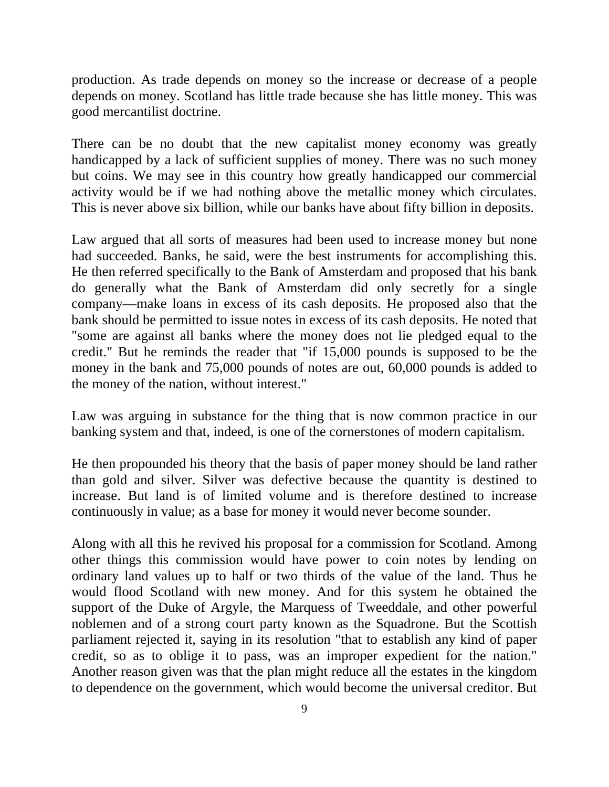production. As trade depends on money so the increase or decrease of a people depends on money. Scotland has little trade because she has little money. This was good mercantilist doctrine.

There can be no doubt that the new capitalist money economy was greatly handicapped by a lack of sufficient supplies of money. There was no such money but coins. We may see in this country how greatly handicapped our commercial activity would be if we had nothing above the metallic money which circulates. This is never above six billion, while our banks have about fifty billion in deposits.

Law argued that all sorts of measures had been used to increase money but none had succeeded. Banks, he said, were the best instruments for accomplishing this. He then referred specifically to the Bank of Amsterdam and proposed that his bank do generally what the Bank of Amsterdam did only secretly for a single company—make loans in excess of its cash deposits. He proposed also that the bank should be permitted to issue notes in excess of its cash deposits. He noted that "some are against all banks where the money does not lie pledged equal to the credit." But he reminds the reader that "if 15,000 pounds is supposed to be the money in the bank and 75,000 pounds of notes are out, 60,000 pounds is added to the money of the nation, without interest."

Law was arguing in substance for the thing that is now common practice in our banking system and that, indeed, is one of the cornerstones of modern capitalism.

He then propounded his theory that the basis of paper money should be land rather than gold and silver. Silver was defective because the quantity is destined to increase. But land is of limited volume and is therefore destined to increase continuously in value; as a base for money it would never become sounder.

Along with all this he revived his proposal for a commission for Scotland. Among other things this commission would have power to coin notes by lending on ordinary land values up to half or two thirds of the value of the land. Thus he would flood Scotland with new money. And for this system he obtained the support of the Duke of Argyle, the Marquess of Tweeddale, and other powerful noblemen and of a strong court party known as the Squadrone. But the Scottish parliament rejected it, saying in its resolution "that to establish any kind of paper credit, so as to oblige it to pass, was an improper expedient for the nation." Another reason given was that the plan might reduce all the estates in the kingdom to dependence on the government, which would become the universal creditor. But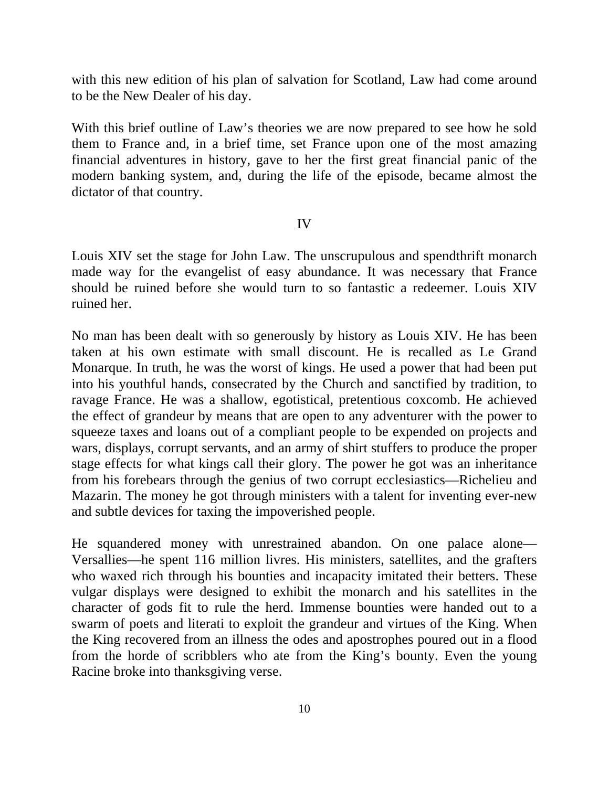with this new edition of his plan of salvation for Scotland, Law had come around to be the New Dealer of his day.

With this brief outline of Law's theories we are now prepared to see how he sold them to France and, in a brief time, set France upon one of the most amazing financial adventures in history, gave to her the first great financial panic of the modern banking system, and, during the life of the episode, became almost the dictator of that country.

## IV

Louis XIV set the stage for John Law. The unscrupulous and spendthrift monarch made way for the evangelist of easy abundance. It was necessary that France should be ruined before she would turn to so fantastic a redeemer. Louis XIV ruined her.

No man has been dealt with so generously by history as Louis XIV. He has been taken at his own estimate with small discount. He is recalled as Le Grand Monarque. In truth, he was the worst of kings. He used a power that had been put into his youthful hands, consecrated by the Church and sanctified by tradition, to ravage France. He was a shallow, egotistical, pretentious coxcomb. He achieved the effect of grandeur by means that are open to any adventurer with the power to squeeze taxes and loans out of a compliant people to be expended on projects and wars, displays, corrupt servants, and an army of shirt stuffers to produce the proper stage effects for what kings call their glory. The power he got was an inheritance from his forebears through the genius of two corrupt ecclesiastics—Richelieu and Mazarin. The money he got through ministers with a talent for inventing ever-new and subtle devices for taxing the impoverished people.

He squandered money with unrestrained abandon. On one palace alone— Versallies—he spent 116 million livres. His ministers, satellites, and the grafters who waxed rich through his bounties and incapacity imitated their betters. These vulgar displays were designed to exhibit the monarch and his satellites in the character of gods fit to rule the herd. Immense bounties were handed out to a swarm of poets and literati to exploit the grandeur and virtues of the King. When the King recovered from an illness the odes and apostrophes poured out in a flood from the horde of scribblers who ate from the King's bounty. Even the young Racine broke into thanksgiving verse.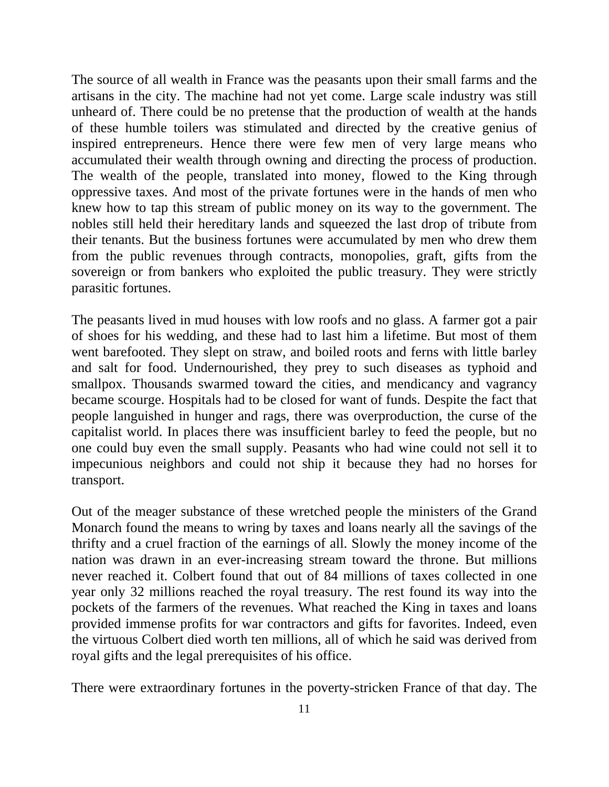The source of all wealth in France was the peasants upon their small farms and the artisans in the city. The machine had not yet come. Large scale industry was still unheard of. There could be no pretense that the production of wealth at the hands of these humble toilers was stimulated and directed by the creative genius of inspired entrepreneurs. Hence there were few men of very large means who accumulated their wealth through owning and directing the process of production. The wealth of the people, translated into money, flowed to the King through oppressive taxes. And most of the private fortunes were in the hands of men who knew how to tap this stream of public money on its way to the government. The nobles still held their hereditary lands and squeezed the last drop of tribute from their tenants. But the business fortunes were accumulated by men who drew them from the public revenues through contracts, monopolies, graft, gifts from the sovereign or from bankers who exploited the public treasury. They were strictly parasitic fortunes.

The peasants lived in mud houses with low roofs and no glass. A farmer got a pair of shoes for his wedding, and these had to last him a lifetime. But most of them went barefooted. They slept on straw, and boiled roots and ferns with little barley and salt for food. Undernourished, they prey to such diseases as typhoid and smallpox. Thousands swarmed toward the cities, and mendicancy and vagrancy became scourge. Hospitals had to be closed for want of funds. Despite the fact that people languished in hunger and rags, there was overproduction, the curse of the capitalist world. In places there was insufficient barley to feed the people, but no one could buy even the small supply. Peasants who had wine could not sell it to impecunious neighbors and could not ship it because they had no horses for transport.

Out of the meager substance of these wretched people the ministers of the Grand Monarch found the means to wring by taxes and loans nearly all the savings of the thrifty and a cruel fraction of the earnings of all. Slowly the money income of the nation was drawn in an ever-increasing stream toward the throne. But millions never reached it. Colbert found that out of 84 millions of taxes collected in one year only 32 millions reached the royal treasury. The rest found its way into the pockets of the farmers of the revenues. What reached the King in taxes and loans provided immense profits for war contractors and gifts for favorites. Indeed, even the virtuous Colbert died worth ten millions, all of which he said was derived from royal gifts and the legal prerequisites of his office.

There were extraordinary fortunes in the poverty-stricken France of that day. The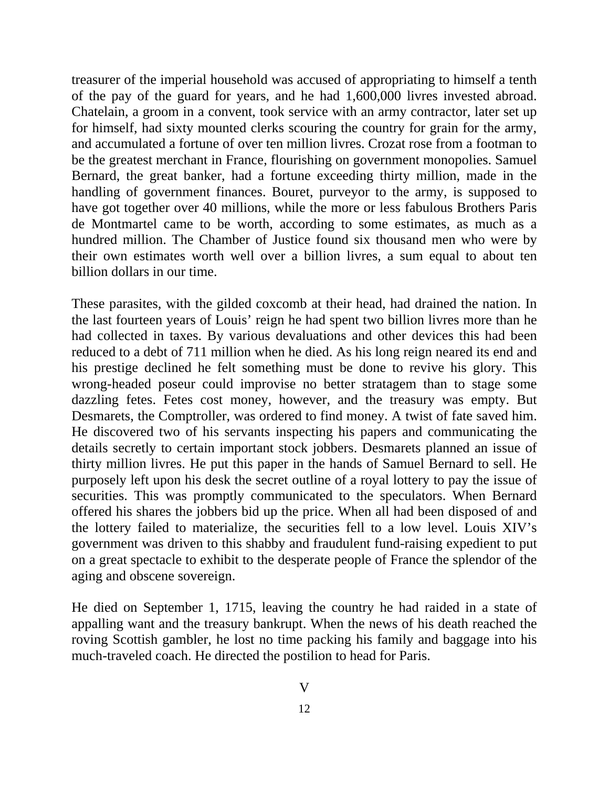treasurer of the imperial household was accused of appropriating to himself a tenth of the pay of the guard for years, and he had 1,600,000 livres invested abroad. Chatelain, a groom in a convent, took service with an army contractor, later set up for himself, had sixty mounted clerks scouring the country for grain for the army, and accumulated a fortune of over ten million livres. Crozat rose from a footman to be the greatest merchant in France, flourishing on government monopolies. Samuel Bernard, the great banker, had a fortune exceeding thirty million, made in the handling of government finances. Bouret, purveyor to the army, is supposed to have got together over 40 millions, while the more or less fabulous Brothers Paris de Montmartel came to be worth, according to some estimates, as much as a hundred million. The Chamber of Justice found six thousand men who were by their own estimates worth well over a billion livres, a sum equal to about ten billion dollars in our time.

These parasites, with the gilded coxcomb at their head, had drained the nation. In the last fourteen years of Louis' reign he had spent two billion livres more than he had collected in taxes. By various devaluations and other devices this had been reduced to a debt of 711 million when he died. As his long reign neared its end and his prestige declined he felt something must be done to revive his glory. This wrong-headed poseur could improvise no better stratagem than to stage some dazzling fetes. Fetes cost money, however, and the treasury was empty. But Desmarets, the Comptroller, was ordered to find money. A twist of fate saved him. He discovered two of his servants inspecting his papers and communicating the details secretly to certain important stock jobbers. Desmarets planned an issue of thirty million livres. He put this paper in the hands of Samuel Bernard to sell. He purposely left upon his desk the secret outline of a royal lottery to pay the issue of securities. This was promptly communicated to the speculators. When Bernard offered his shares the jobbers bid up the price. When all had been disposed of and the lottery failed to materialize, the securities fell to a low level. Louis XIV's government was driven to this shabby and fraudulent fund-raising expedient to put on a great spectacle to exhibit to the desperate people of France the splendor of the aging and obscene sovereign.

He died on September 1, 1715, leaving the country he had raided in a state of appalling want and the treasury bankrupt. When the news of his death reached the roving Scottish gambler, he lost no time packing his family and baggage into his much-traveled coach. He directed the postilion to head for Paris.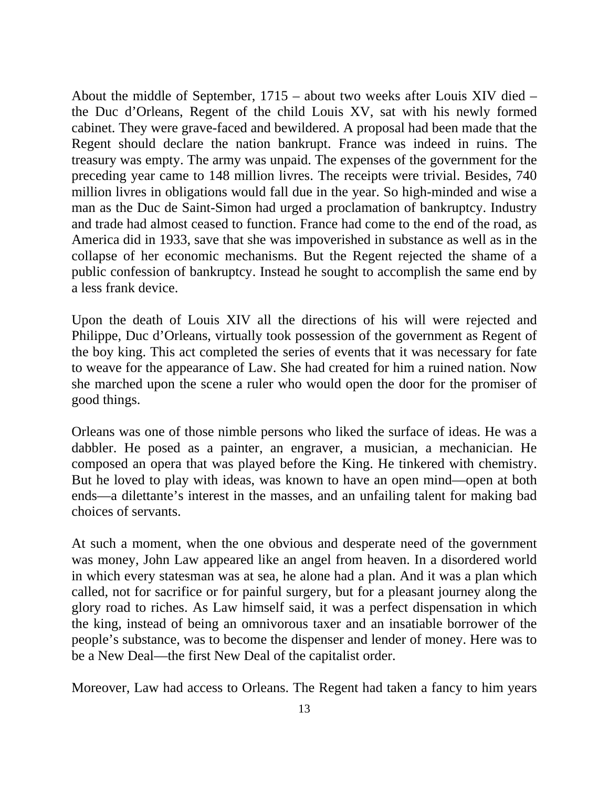About the middle of September, 1715 – about two weeks after Louis XIV died – the Duc d'Orleans, Regent of the child Louis XV, sat with his newly formed cabinet. They were grave-faced and bewildered. A proposal had been made that the Regent should declare the nation bankrupt. France was indeed in ruins. The treasury was empty. The army was unpaid. The expenses of the government for the preceding year came to 148 million livres. The receipts were trivial. Besides, 740 million livres in obligations would fall due in the year. So high-minded and wise a man as the Duc de Saint-Simon had urged a proclamation of bankruptcy. Industry and trade had almost ceased to function. France had come to the end of the road, as America did in 1933, save that she was impoverished in substance as well as in the collapse of her economic mechanisms. But the Regent rejected the shame of a public confession of bankruptcy. Instead he sought to accomplish the same end by a less frank device.

Upon the death of Louis XIV all the directions of his will were rejected and Philippe, Duc d'Orleans, virtually took possession of the government as Regent of the boy king. This act completed the series of events that it was necessary for fate to weave for the appearance of Law. She had created for him a ruined nation. Now she marched upon the scene a ruler who would open the door for the promiser of good things.

Orleans was one of those nimble persons who liked the surface of ideas. He was a dabbler. He posed as a painter, an engraver, a musician, a mechanician. He composed an opera that was played before the King. He tinkered with chemistry. But he loved to play with ideas, was known to have an open mind—open at both ends—a dilettante's interest in the masses, and an unfailing talent for making bad choices of servants.

At such a moment, when the one obvious and desperate need of the government was money, John Law appeared like an angel from heaven. In a disordered world in which every statesman was at sea, he alone had a plan. And it was a plan which called, not for sacrifice or for painful surgery, but for a pleasant journey along the glory road to riches. As Law himself said, it was a perfect dispensation in which the king, instead of being an omnivorous taxer and an insatiable borrower of the people's substance, was to become the dispenser and lender of money. Here was to be a New Deal—the first New Deal of the capitalist order.

Moreover, Law had access to Orleans. The Regent had taken a fancy to him years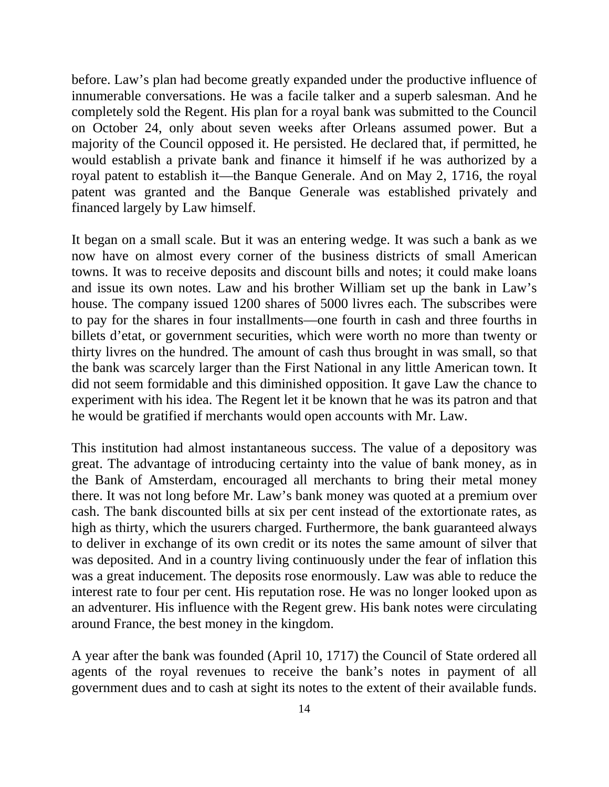before. Law's plan had become greatly expanded under the productive influence of innumerable conversations. He was a facile talker and a superb salesman. And he completely sold the Regent. His plan for a royal bank was submitted to the Council on October 24, only about seven weeks after Orleans assumed power. But a majority of the Council opposed it. He persisted. He declared that, if permitted, he would establish a private bank and finance it himself if he was authorized by a royal patent to establish it—the Banque Generale. And on May 2, 1716, the royal patent was granted and the Banque Generale was established privately and financed largely by Law himself.

It began on a small scale. But it was an entering wedge. It was such a bank as we now have on almost every corner of the business districts of small American towns. It was to receive deposits and discount bills and notes; it could make loans and issue its own notes. Law and his brother William set up the bank in Law's house. The company issued 1200 shares of 5000 livres each. The subscribes were to pay for the shares in four installments—one fourth in cash and three fourths in billets d'etat, or government securities, which were worth no more than twenty or thirty livres on the hundred. The amount of cash thus brought in was small, so that the bank was scarcely larger than the First National in any little American town. It did not seem formidable and this diminished opposition. It gave Law the chance to experiment with his idea. The Regent let it be known that he was its patron and that he would be gratified if merchants would open accounts with Mr. Law.

This institution had almost instantaneous success. The value of a depository was great. The advantage of introducing certainty into the value of bank money, as in the Bank of Amsterdam, encouraged all merchants to bring their metal money there. It was not long before Mr. Law's bank money was quoted at a premium over cash. The bank discounted bills at six per cent instead of the extortionate rates, as high as thirty, which the usurers charged. Furthermore, the bank guaranteed always to deliver in exchange of its own credit or its notes the same amount of silver that was deposited. And in a country living continuously under the fear of inflation this was a great inducement. The deposits rose enormously. Law was able to reduce the interest rate to four per cent. His reputation rose. He was no longer looked upon as an adventurer. His influence with the Regent grew. His bank notes were circulating around France, the best money in the kingdom.

A year after the bank was founded (April 10, 1717) the Council of State ordered all agents of the royal revenues to receive the bank's notes in payment of all government dues and to cash at sight its notes to the extent of their available funds.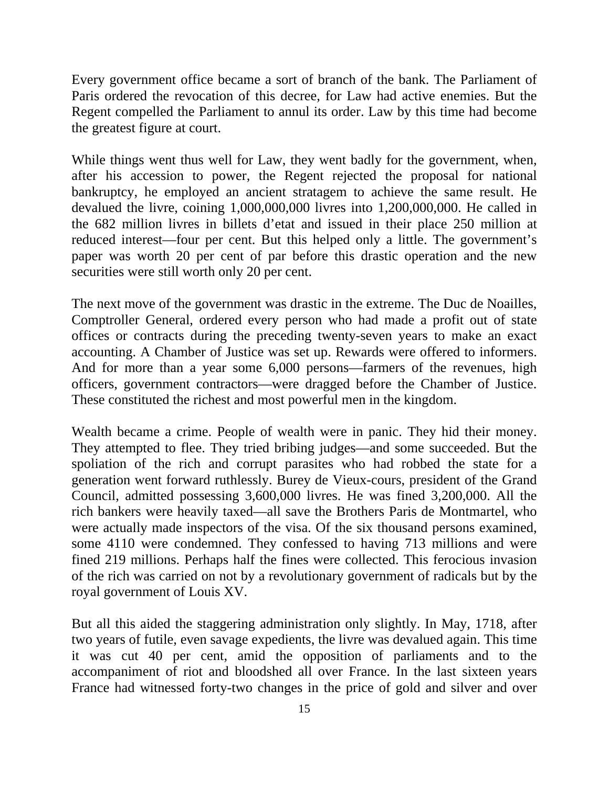Every government office became a sort of branch of the bank. The Parliament of Paris ordered the revocation of this decree, for Law had active enemies. But the Regent compelled the Parliament to annul its order. Law by this time had become the greatest figure at court.

While things went thus well for Law, they went badly for the government, when, after his accession to power, the Regent rejected the proposal for national bankruptcy, he employed an ancient stratagem to achieve the same result. He devalued the livre, coining 1,000,000,000 livres into 1,200,000,000. He called in the 682 million livres in billets d'etat and issued in their place 250 million at reduced interest—four per cent. But this helped only a little. The government's paper was worth 20 per cent of par before this drastic operation and the new securities were still worth only 20 per cent.

The next move of the government was drastic in the extreme. The Duc de Noailles, Comptroller General, ordered every person who had made a profit out of state offices or contracts during the preceding twenty-seven years to make an exact accounting. A Chamber of Justice was set up. Rewards were offered to informers. And for more than a year some 6,000 persons—farmers of the revenues, high officers, government contractors—were dragged before the Chamber of Justice. These constituted the richest and most powerful men in the kingdom.

Wealth became a crime. People of wealth were in panic. They hid their money. They attempted to flee. They tried bribing judges—and some succeeded. But the spoliation of the rich and corrupt parasites who had robbed the state for a generation went forward ruthlessly. Burey de Vieux-cours, president of the Grand Council, admitted possessing 3,600,000 livres. He was fined 3,200,000. All the rich bankers were heavily taxed—all save the Brothers Paris de Montmartel, who were actually made inspectors of the visa. Of the six thousand persons examined, some 4110 were condemned. They confessed to having 713 millions and were fined 219 millions. Perhaps half the fines were collected. This ferocious invasion of the rich was carried on not by a revolutionary government of radicals but by the royal government of Louis XV.

But all this aided the staggering administration only slightly. In May, 1718, after two years of futile, even savage expedients, the livre was devalued again. This time it was cut 40 per cent, amid the opposition of parliaments and to the accompaniment of riot and bloodshed all over France. In the last sixteen years France had witnessed forty-two changes in the price of gold and silver and over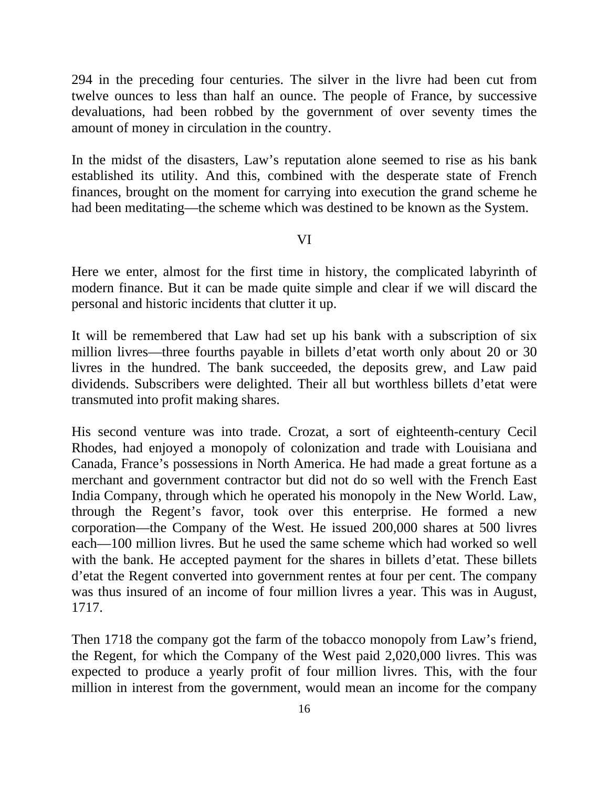294 in the preceding four centuries. The silver in the livre had been cut from twelve ounces to less than half an ounce. The people of France, by successive devaluations, had been robbed by the government of over seventy times the amount of money in circulation in the country.

In the midst of the disasters, Law's reputation alone seemed to rise as his bank established its utility. And this, combined with the desperate state of French finances, brought on the moment for carrying into execution the grand scheme he had been meditating—the scheme which was destined to be known as the System.

#### VI

Here we enter, almost for the first time in history, the complicated labyrinth of modern finance. But it can be made quite simple and clear if we will discard the personal and historic incidents that clutter it up.

It will be remembered that Law had set up his bank with a subscription of six million livres—three fourths payable in billets d'etat worth only about 20 or 30 livres in the hundred. The bank succeeded, the deposits grew, and Law paid dividends. Subscribers were delighted. Their all but worthless billets d'etat were transmuted into profit making shares.

His second venture was into trade. Crozat, a sort of eighteenth-century Cecil Rhodes, had enjoyed a monopoly of colonization and trade with Louisiana and Canada, France's possessions in North America. He had made a great fortune as a merchant and government contractor but did not do so well with the French East India Company, through which he operated his monopoly in the New World. Law, through the Regent's favor, took over this enterprise. He formed a new corporation—the Company of the West. He issued 200,000 shares at 500 livres each—100 million livres. But he used the same scheme which had worked so well with the bank. He accepted payment for the shares in billets d'etat. These billets d'etat the Regent converted into government rentes at four per cent. The company was thus insured of an income of four million livres a year. This was in August, 1717.

Then 1718 the company got the farm of the tobacco monopoly from Law's friend, the Regent, for which the Company of the West paid 2,020,000 livres. This was expected to produce a yearly profit of four million livres. This, with the four million in interest from the government, would mean an income for the company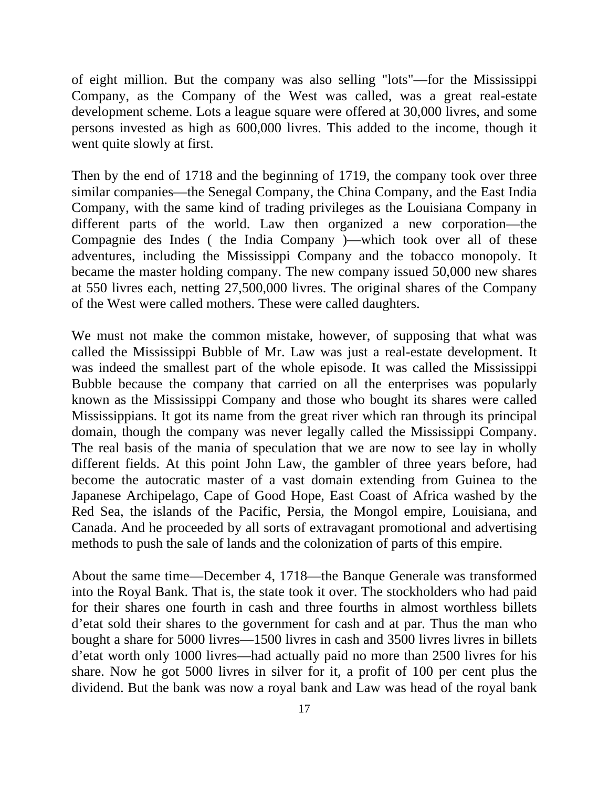of eight million. But the company was also selling "lots"—for the Mississippi Company, as the Company of the West was called, was a great real-estate development scheme. Lots a league square were offered at 30,000 livres, and some persons invested as high as 600,000 livres. This added to the income, though it went quite slowly at first.

Then by the end of 1718 and the beginning of 1719, the company took over three similar companies—the Senegal Company, the China Company, and the East India Company, with the same kind of trading privileges as the Louisiana Company in different parts of the world. Law then organized a new corporation—the Compagnie des Indes ( the India Company )—which took over all of these adventures, including the Mississippi Company and the tobacco monopoly. It became the master holding company. The new company issued 50,000 new shares at 550 livres each, netting 27,500,000 livres. The original shares of the Company of the West were called mothers. These were called daughters.

We must not make the common mistake, however, of supposing that what was called the Mississippi Bubble of Mr. Law was just a real-estate development. It was indeed the smallest part of the whole episode. It was called the Mississippi Bubble because the company that carried on all the enterprises was popularly known as the Mississippi Company and those who bought its shares were called Mississippians. It got its name from the great river which ran through its principal domain, though the company was never legally called the Mississippi Company. The real basis of the mania of speculation that we are now to see lay in wholly different fields. At this point John Law, the gambler of three years before, had become the autocratic master of a vast domain extending from Guinea to the Japanese Archipelago, Cape of Good Hope, East Coast of Africa washed by the Red Sea, the islands of the Pacific, Persia, the Mongol empire, Louisiana, and Canada. And he proceeded by all sorts of extravagant promotional and advertising methods to push the sale of lands and the colonization of parts of this empire.

About the same time—December 4, 1718—the Banque Generale was transformed into the Royal Bank. That is, the state took it over. The stockholders who had paid for their shares one fourth in cash and three fourths in almost worthless billets d'etat sold their shares to the government for cash and at par. Thus the man who bought a share for 5000 livres—1500 livres in cash and 3500 livres livres in billets d'etat worth only 1000 livres—had actually paid no more than 2500 livres for his share. Now he got 5000 livres in silver for it, a profit of 100 per cent plus the dividend. But the bank was now a royal bank and Law was head of the royal bank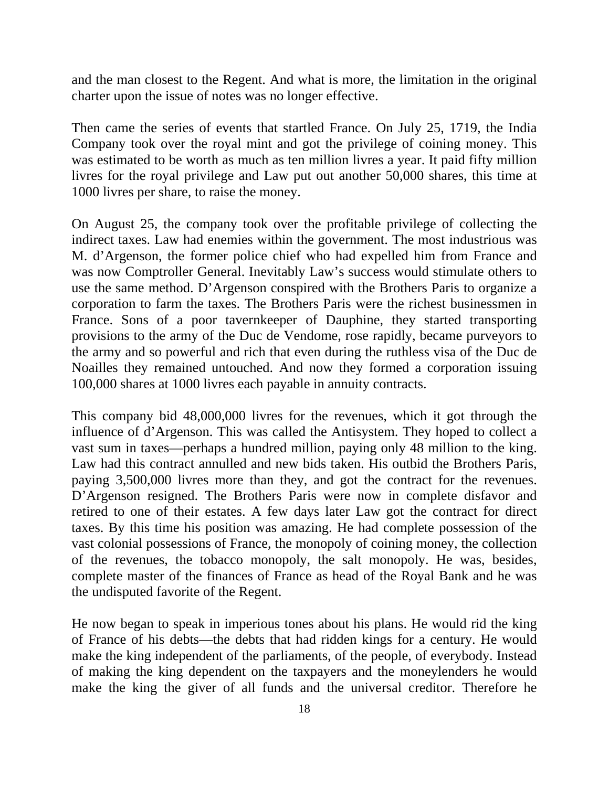and the man closest to the Regent. And what is more, the limitation in the original charter upon the issue of notes was no longer effective.

Then came the series of events that startled France. On July 25, 1719, the India Company took over the royal mint and got the privilege of coining money. This was estimated to be worth as much as ten million livres a year. It paid fifty million livres for the royal privilege and Law put out another 50,000 shares, this time at 1000 livres per share, to raise the money.

On August 25, the company took over the profitable privilege of collecting the indirect taxes. Law had enemies within the government. The most industrious was M. d'Argenson, the former police chief who had expelled him from France and was now Comptroller General. Inevitably Law's success would stimulate others to use the same method. D'Argenson conspired with the Brothers Paris to organize a corporation to farm the taxes. The Brothers Paris were the richest businessmen in France. Sons of a poor tavernkeeper of Dauphine, they started transporting provisions to the army of the Duc de Vendome, rose rapidly, became purveyors to the army and so powerful and rich that even during the ruthless visa of the Duc de Noailles they remained untouched. And now they formed a corporation issuing 100,000 shares at 1000 livres each payable in annuity contracts.

This company bid 48,000,000 livres for the revenues, which it got through the influence of d'Argenson. This was called the Antisystem. They hoped to collect a vast sum in taxes—perhaps a hundred million, paying only 48 million to the king. Law had this contract annulled and new bids taken. His outbid the Brothers Paris, paying 3,500,000 livres more than they, and got the contract for the revenues. D'Argenson resigned. The Brothers Paris were now in complete disfavor and retired to one of their estates. A few days later Law got the contract for direct taxes. By this time his position was amazing. He had complete possession of the vast colonial possessions of France, the monopoly of coining money, the collection of the revenues, the tobacco monopoly, the salt monopoly. He was, besides, complete master of the finances of France as head of the Royal Bank and he was the undisputed favorite of the Regent.

He now began to speak in imperious tones about his plans. He would rid the king of France of his debts—the debts that had ridden kings for a century. He would make the king independent of the parliaments, of the people, of everybody. Instead of making the king dependent on the taxpayers and the moneylenders he would make the king the giver of all funds and the universal creditor. Therefore he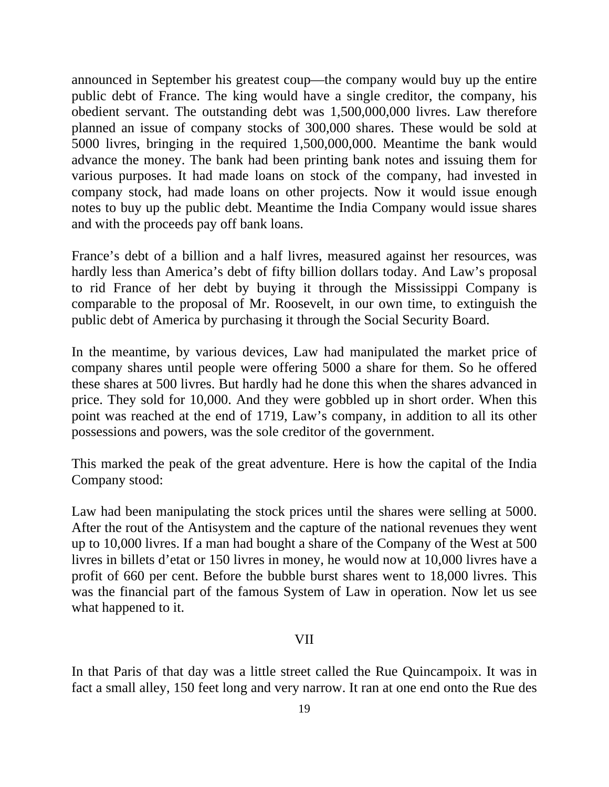announced in September his greatest coup—the company would buy up the entire public debt of France. The king would have a single creditor, the company, his obedient servant. The outstanding debt was 1,500,000,000 livres. Law therefore planned an issue of company stocks of 300,000 shares. These would be sold at 5000 livres, bringing in the required 1,500,000,000. Meantime the bank would advance the money. The bank had been printing bank notes and issuing them for various purposes. It had made loans on stock of the company, had invested in company stock, had made loans on other projects. Now it would issue enough notes to buy up the public debt. Meantime the India Company would issue shares and with the proceeds pay off bank loans.

France's debt of a billion and a half livres, measured against her resources, was hardly less than America's debt of fifty billion dollars today. And Law's proposal to rid France of her debt by buying it through the Mississippi Company is comparable to the proposal of Mr. Roosevelt, in our own time, to extinguish the public debt of America by purchasing it through the Social Security Board.

In the meantime, by various devices, Law had manipulated the market price of company shares until people were offering 5000 a share for them. So he offered these shares at 500 livres. But hardly had he done this when the shares advanced in price. They sold for 10,000. And they were gobbled up in short order. When this point was reached at the end of 1719, Law's company, in addition to all its other possessions and powers, was the sole creditor of the government.

This marked the peak of the great adventure. Here is how the capital of the India Company stood:

Law had been manipulating the stock prices until the shares were selling at 5000. After the rout of the Antisystem and the capture of the national revenues they went up to 10,000 livres. If a man had bought a share of the Company of the West at 500 livres in billets d'etat or 150 livres in money, he would now at 10,000 livres have a profit of 660 per cent. Before the bubble burst shares went to 18,000 livres. This was the financial part of the famous System of Law in operation. Now let us see what happened to it.

### VII

In that Paris of that day was a little street called the Rue Quincampoix. It was in fact a small alley, 150 feet long and very narrow. It ran at one end onto the Rue des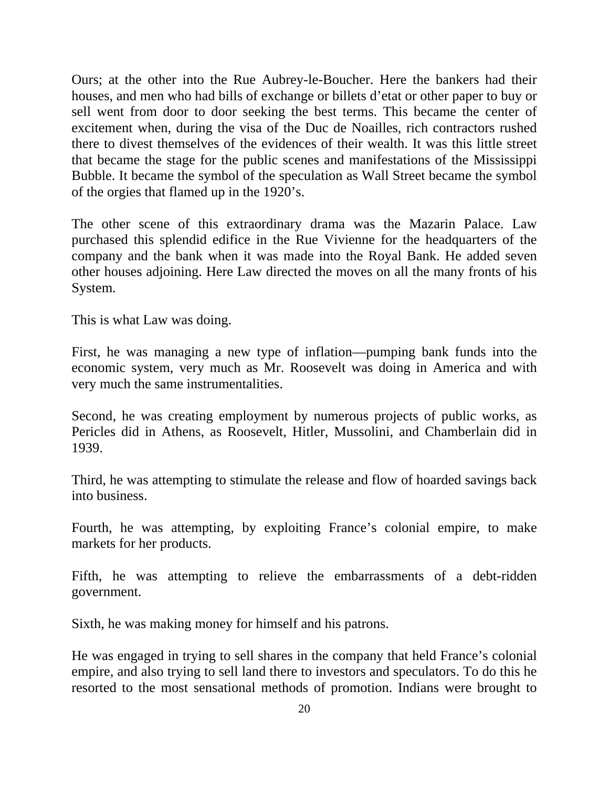Ours; at the other into the Rue Aubrey-le-Boucher. Here the bankers had their houses, and men who had bills of exchange or billets d'etat or other paper to buy or sell went from door to door seeking the best terms. This became the center of excitement when, during the visa of the Duc de Noailles, rich contractors rushed there to divest themselves of the evidences of their wealth. It was this little street that became the stage for the public scenes and manifestations of the Mississippi Bubble. It became the symbol of the speculation as Wall Street became the symbol of the orgies that flamed up in the 1920's.

The other scene of this extraordinary drama was the Mazarin Palace. Law purchased this splendid edifice in the Rue Vivienne for the headquarters of the company and the bank when it was made into the Royal Bank. He added seven other houses adjoining. Here Law directed the moves on all the many fronts of his System.

This is what Law was doing.

First, he was managing a new type of inflation—pumping bank funds into the economic system, very much as Mr. Roosevelt was doing in America and with very much the same instrumentalities.

Second, he was creating employment by numerous projects of public works, as Pericles did in Athens, as Roosevelt, Hitler, Mussolini, and Chamberlain did in 1939.

Third, he was attempting to stimulate the release and flow of hoarded savings back into business.

Fourth, he was attempting, by exploiting France's colonial empire, to make markets for her products.

Fifth, he was attempting to relieve the embarrassments of a debt-ridden government.

Sixth, he was making money for himself and his patrons.

He was engaged in trying to sell shares in the company that held France's colonial empire, and also trying to sell land there to investors and speculators. To do this he resorted to the most sensational methods of promotion. Indians were brought to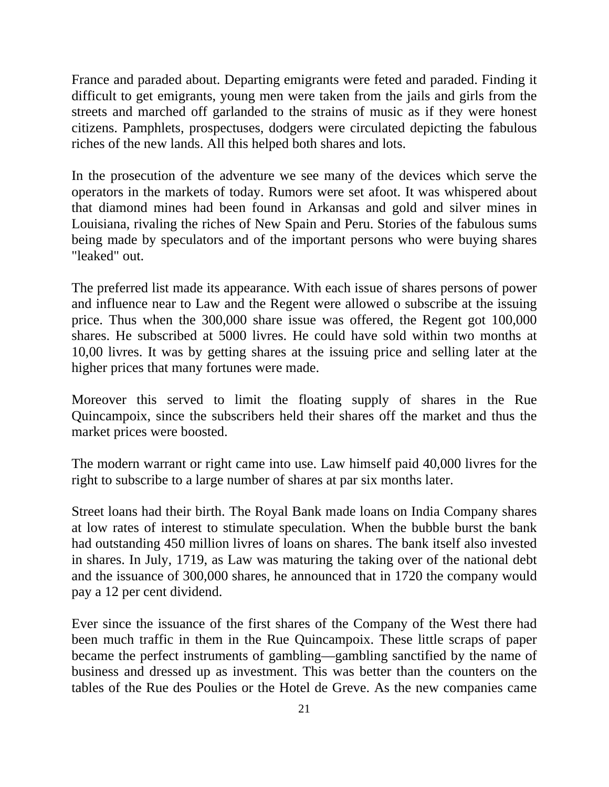France and paraded about. Departing emigrants were feted and paraded. Finding it difficult to get emigrants, young men were taken from the jails and girls from the streets and marched off garlanded to the strains of music as if they were honest citizens. Pamphlets, prospectuses, dodgers were circulated depicting the fabulous riches of the new lands. All this helped both shares and lots.

In the prosecution of the adventure we see many of the devices which serve the operators in the markets of today. Rumors were set afoot. It was whispered about that diamond mines had been found in Arkansas and gold and silver mines in Louisiana, rivaling the riches of New Spain and Peru. Stories of the fabulous sums being made by speculators and of the important persons who were buying shares "leaked" out.

The preferred list made its appearance. With each issue of shares persons of power and influence near to Law and the Regent were allowed o subscribe at the issuing price. Thus when the 300,000 share issue was offered, the Regent got 100,000 shares. He subscribed at 5000 livres. He could have sold within two months at 10,00 livres. It was by getting shares at the issuing price and selling later at the higher prices that many fortunes were made.

Moreover this served to limit the floating supply of shares in the Rue Quincampoix, since the subscribers held their shares off the market and thus the market prices were boosted.

The modern warrant or right came into use. Law himself paid 40,000 livres for the right to subscribe to a large number of shares at par six months later.

Street loans had their birth. The Royal Bank made loans on India Company shares at low rates of interest to stimulate speculation. When the bubble burst the bank had outstanding 450 million livres of loans on shares. The bank itself also invested in shares. In July, 1719, as Law was maturing the taking over of the national debt and the issuance of 300,000 shares, he announced that in 1720 the company would pay a 12 per cent dividend.

Ever since the issuance of the first shares of the Company of the West there had been much traffic in them in the Rue Quincampoix. These little scraps of paper became the perfect instruments of gambling—gambling sanctified by the name of business and dressed up as investment. This was better than the counters on the tables of the Rue des Poulies or the Hotel de Greve. As the new companies came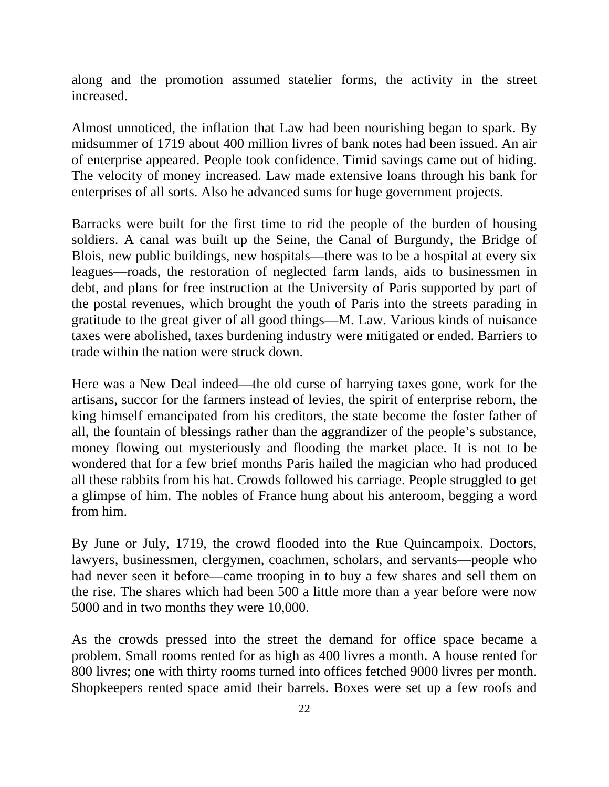along and the promotion assumed statelier forms, the activity in the street increased.

Almost unnoticed, the inflation that Law had been nourishing began to spark. By midsummer of 1719 about 400 million livres of bank notes had been issued. An air of enterprise appeared. People took confidence. Timid savings came out of hiding. The velocity of money increased. Law made extensive loans through his bank for enterprises of all sorts. Also he advanced sums for huge government projects.

Barracks were built for the first time to rid the people of the burden of housing soldiers. A canal was built up the Seine, the Canal of Burgundy, the Bridge of Blois, new public buildings, new hospitals—there was to be a hospital at every six leagues—roads, the restoration of neglected farm lands, aids to businessmen in debt, and plans for free instruction at the University of Paris supported by part of the postal revenues, which brought the youth of Paris into the streets parading in gratitude to the great giver of all good things—M. Law. Various kinds of nuisance taxes were abolished, taxes burdening industry were mitigated or ended. Barriers to trade within the nation were struck down.

Here was a New Deal indeed—the old curse of harrying taxes gone, work for the artisans, succor for the farmers instead of levies, the spirit of enterprise reborn, the king himself emancipated from his creditors, the state become the foster father of all, the fountain of blessings rather than the aggrandizer of the people's substance, money flowing out mysteriously and flooding the market place. It is not to be wondered that for a few brief months Paris hailed the magician who had produced all these rabbits from his hat. Crowds followed his carriage. People struggled to get a glimpse of him. The nobles of France hung about his anteroom, begging a word from him.

By June or July, 1719, the crowd flooded into the Rue Quincampoix. Doctors, lawyers, businessmen, clergymen, coachmen, scholars, and servants—people who had never seen it before—came trooping in to buy a few shares and sell them on the rise. The shares which had been 500 a little more than a year before were now 5000 and in two months they were 10,000.

As the crowds pressed into the street the demand for office space became a problem. Small rooms rented for as high as 400 livres a month. A house rented for 800 livres; one with thirty rooms turned into offices fetched 9000 livres per month. Shopkeepers rented space amid their barrels. Boxes were set up a few roofs and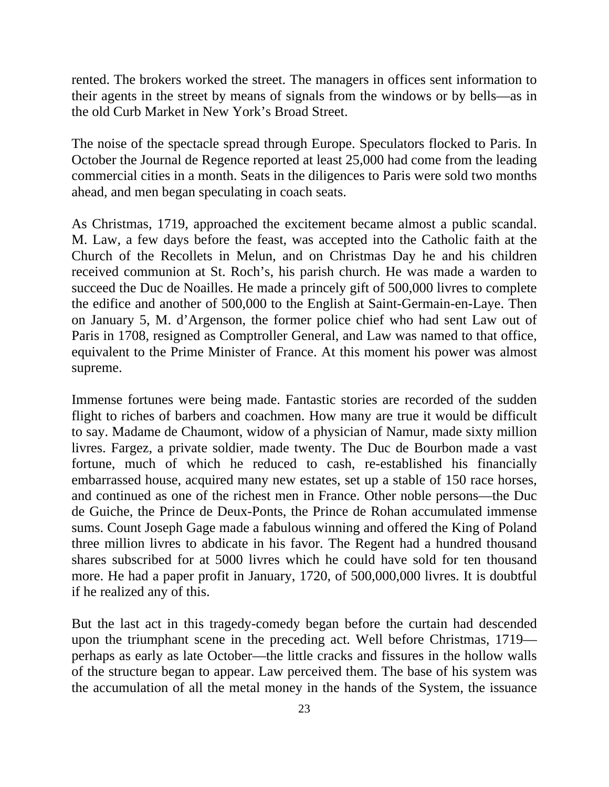rented. The brokers worked the street. The managers in offices sent information to their agents in the street by means of signals from the windows or by bells—as in the old Curb Market in New York's Broad Street.

The noise of the spectacle spread through Europe. Speculators flocked to Paris. In October the Journal de Regence reported at least 25,000 had come from the leading commercial cities in a month. Seats in the diligences to Paris were sold two months ahead, and men began speculating in coach seats.

As Christmas, 1719, approached the excitement became almost a public scandal. M. Law, a few days before the feast, was accepted into the Catholic faith at the Church of the Recollets in Melun, and on Christmas Day he and his children received communion at St. Roch's, his parish church. He was made a warden to succeed the Duc de Noailles. He made a princely gift of 500,000 livres to complete the edifice and another of 500,000 to the English at Saint-Germain-en-Laye. Then on January 5, M. d'Argenson, the former police chief who had sent Law out of Paris in 1708, resigned as Comptroller General, and Law was named to that office, equivalent to the Prime Minister of France. At this moment his power was almost supreme.

Immense fortunes were being made. Fantastic stories are recorded of the sudden flight to riches of barbers and coachmen. How many are true it would be difficult to say. Madame de Chaumont, widow of a physician of Namur, made sixty million livres. Fargez, a private soldier, made twenty. The Duc de Bourbon made a vast fortune, much of which he reduced to cash, re-established his financially embarrassed house, acquired many new estates, set up a stable of 150 race horses, and continued as one of the richest men in France. Other noble persons—the Duc de Guiche, the Prince de Deux-Ponts, the Prince de Rohan accumulated immense sums. Count Joseph Gage made a fabulous winning and offered the King of Poland three million livres to abdicate in his favor. The Regent had a hundred thousand shares subscribed for at 5000 livres which he could have sold for ten thousand more. He had a paper profit in January, 1720, of 500,000,000 livres. It is doubtful if he realized any of this.

But the last act in this tragedy-comedy began before the curtain had descended upon the triumphant scene in the preceding act. Well before Christmas, 1719 perhaps as early as late October—the little cracks and fissures in the hollow walls of the structure began to appear. Law perceived them. The base of his system was the accumulation of all the metal money in the hands of the System, the issuance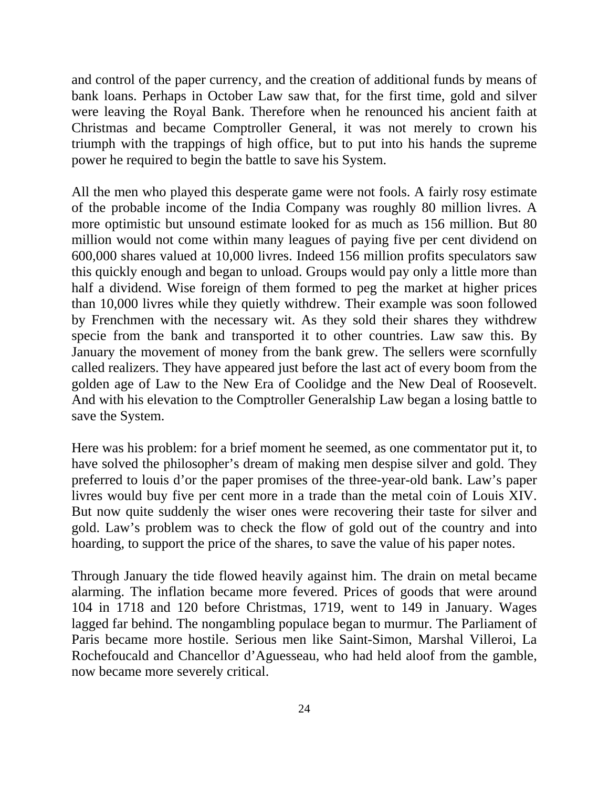and control of the paper currency, and the creation of additional funds by means of bank loans. Perhaps in October Law saw that, for the first time, gold and silver were leaving the Royal Bank. Therefore when he renounced his ancient faith at Christmas and became Comptroller General, it was not merely to crown his triumph with the trappings of high office, but to put into his hands the supreme power he required to begin the battle to save his System.

All the men who played this desperate game were not fools. A fairly rosy estimate of the probable income of the India Company was roughly 80 million livres. A more optimistic but unsound estimate looked for as much as 156 million. But 80 million would not come within many leagues of paying five per cent dividend on 600,000 shares valued at 10,000 livres. Indeed 156 million profits speculators saw this quickly enough and began to unload. Groups would pay only a little more than half a dividend. Wise foreign of them formed to peg the market at higher prices than 10,000 livres while they quietly withdrew. Their example was soon followed by Frenchmen with the necessary wit. As they sold their shares they withdrew specie from the bank and transported it to other countries. Law saw this. By January the movement of money from the bank grew. The sellers were scornfully called realizers. They have appeared just before the last act of every boom from the golden age of Law to the New Era of Coolidge and the New Deal of Roosevelt. And with his elevation to the Comptroller Generalship Law began a losing battle to save the System.

Here was his problem: for a brief moment he seemed, as one commentator put it, to have solved the philosopher's dream of making men despise silver and gold. They preferred to louis d'or the paper promises of the three-year-old bank. Law's paper livres would buy five per cent more in a trade than the metal coin of Louis XIV. But now quite suddenly the wiser ones were recovering their taste for silver and gold. Law's problem was to check the flow of gold out of the country and into hoarding, to support the price of the shares, to save the value of his paper notes.

Through January the tide flowed heavily against him. The drain on metal became alarming. The inflation became more fevered. Prices of goods that were around 104 in 1718 and 120 before Christmas, 1719, went to 149 in January. Wages lagged far behind. The nongambling populace began to murmur. The Parliament of Paris became more hostile. Serious men like Saint-Simon, Marshal Villeroi, La Rochefoucald and Chancellor d'Aguesseau, who had held aloof from the gamble, now became more severely critical.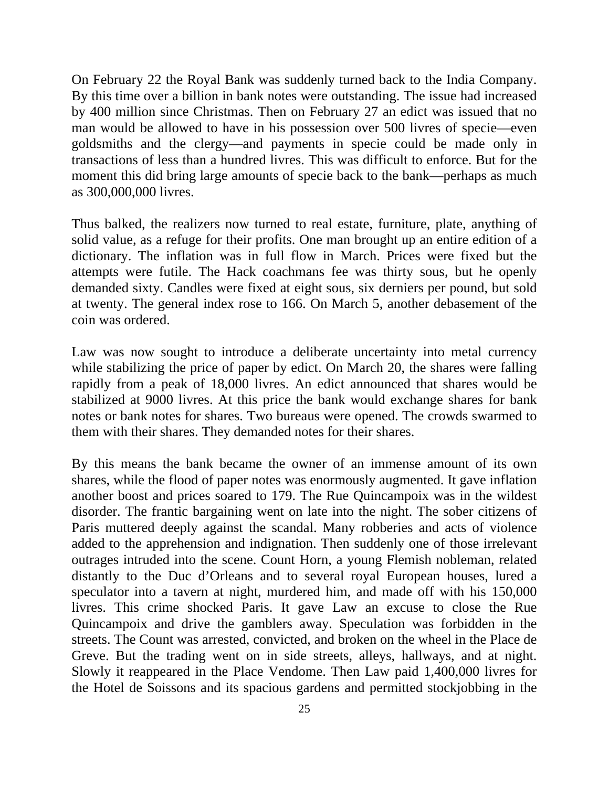On February 22 the Royal Bank was suddenly turned back to the India Company. By this time over a billion in bank notes were outstanding. The issue had increased by 400 million since Christmas. Then on February 27 an edict was issued that no man would be allowed to have in his possession over 500 livres of specie—even goldsmiths and the clergy—and payments in specie could be made only in transactions of less than a hundred livres. This was difficult to enforce. But for the moment this did bring large amounts of specie back to the bank—perhaps as much as 300,000,000 livres.

Thus balked, the realizers now turned to real estate, furniture, plate, anything of solid value, as a refuge for their profits. One man brought up an entire edition of a dictionary. The inflation was in full flow in March. Prices were fixed but the attempts were futile. The Hack coachmans fee was thirty sous, but he openly demanded sixty. Candles were fixed at eight sous, six derniers per pound, but sold at twenty. The general index rose to 166. On March 5, another debasement of the coin was ordered.

Law was now sought to introduce a deliberate uncertainty into metal currency while stabilizing the price of paper by edict. On March 20, the shares were falling rapidly from a peak of 18,000 livres. An edict announced that shares would be stabilized at 9000 livres. At this price the bank would exchange shares for bank notes or bank notes for shares. Two bureaus were opened. The crowds swarmed to them with their shares. They demanded notes for their shares.

By this means the bank became the owner of an immense amount of its own shares, while the flood of paper notes was enormously augmented. It gave inflation another boost and prices soared to 179. The Rue Quincampoix was in the wildest disorder. The frantic bargaining went on late into the night. The sober citizens of Paris muttered deeply against the scandal. Many robberies and acts of violence added to the apprehension and indignation. Then suddenly one of those irrelevant outrages intruded into the scene. Count Horn, a young Flemish nobleman, related distantly to the Duc d'Orleans and to several royal European houses, lured a speculator into a tavern at night, murdered him, and made off with his 150,000 livres. This crime shocked Paris. It gave Law an excuse to close the Rue Quincampoix and drive the gamblers away. Speculation was forbidden in the streets. The Count was arrested, convicted, and broken on the wheel in the Place de Greve. But the trading went on in side streets, alleys, hallways, and at night. Slowly it reappeared in the Place Vendome. Then Law paid 1,400,000 livres for the Hotel de Soissons and its spacious gardens and permitted stockjobbing in the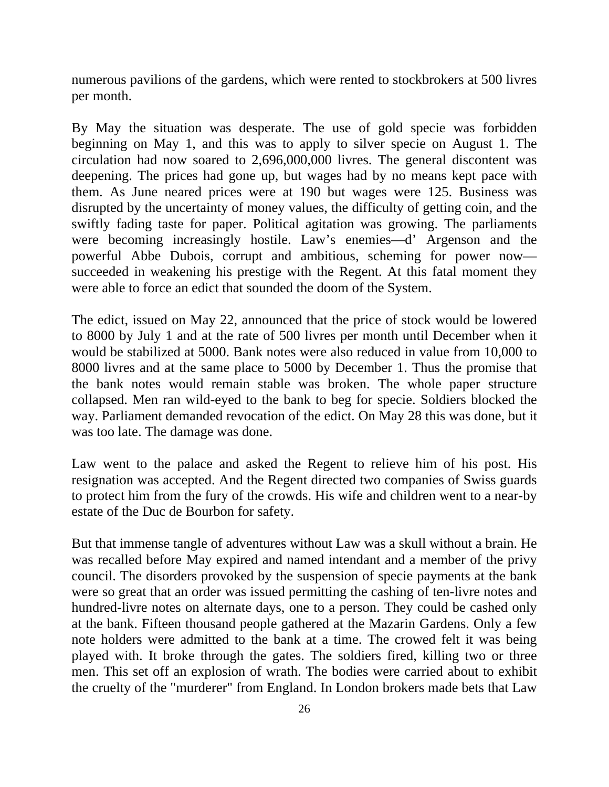numerous pavilions of the gardens, which were rented to stockbrokers at 500 livres per month.

By May the situation was desperate. The use of gold specie was forbidden beginning on May 1, and this was to apply to silver specie on August 1. The circulation had now soared to 2,696,000,000 livres. The general discontent was deepening. The prices had gone up, but wages had by no means kept pace with them. As June neared prices were at 190 but wages were 125. Business was disrupted by the uncertainty of money values, the difficulty of getting coin, and the swiftly fading taste for paper. Political agitation was growing. The parliaments were becoming increasingly hostile. Law's enemies—d' Argenson and the powerful Abbe Dubois, corrupt and ambitious, scheming for power now succeeded in weakening his prestige with the Regent. At this fatal moment they were able to force an edict that sounded the doom of the System.

The edict, issued on May 22, announced that the price of stock would be lowered to 8000 by July 1 and at the rate of 500 livres per month until December when it would be stabilized at 5000. Bank notes were also reduced in value from 10,000 to 8000 livres and at the same place to 5000 by December 1. Thus the promise that the bank notes would remain stable was broken. The whole paper structure collapsed. Men ran wild-eyed to the bank to beg for specie. Soldiers blocked the way. Parliament demanded revocation of the edict. On May 28 this was done, but it was too late. The damage was done.

Law went to the palace and asked the Regent to relieve him of his post. His resignation was accepted. And the Regent directed two companies of Swiss guards to protect him from the fury of the crowds. His wife and children went to a near-by estate of the Duc de Bourbon for safety.

But that immense tangle of adventures without Law was a skull without a brain. He was recalled before May expired and named intendant and a member of the privy council. The disorders provoked by the suspension of specie payments at the bank were so great that an order was issued permitting the cashing of ten-livre notes and hundred-livre notes on alternate days, one to a person. They could be cashed only at the bank. Fifteen thousand people gathered at the Mazarin Gardens. Only a few note holders were admitted to the bank at a time. The crowed felt it was being played with. It broke through the gates. The soldiers fired, killing two or three men. This set off an explosion of wrath. The bodies were carried about to exhibit the cruelty of the "murderer" from England. In London brokers made bets that Law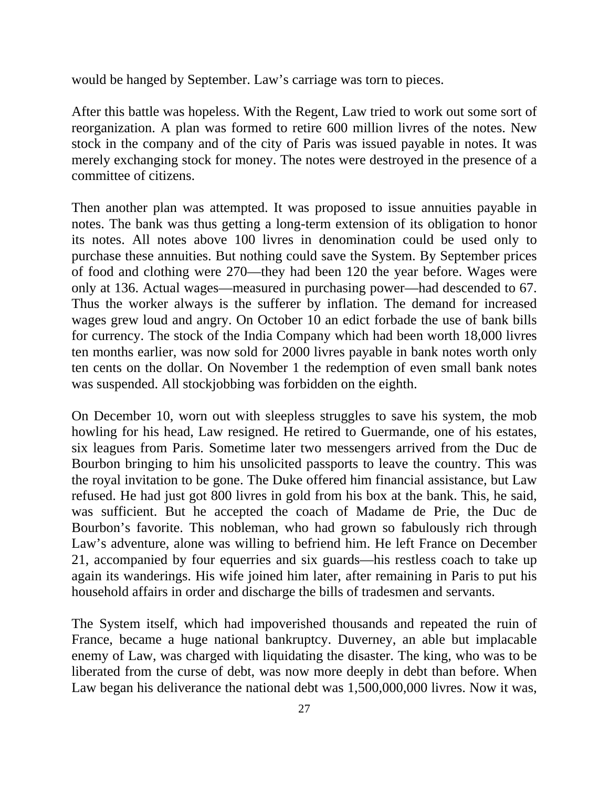would be hanged by September. Law's carriage was torn to pieces.

After this battle was hopeless. With the Regent, Law tried to work out some sort of reorganization. A plan was formed to retire 600 million livres of the notes. New stock in the company and of the city of Paris was issued payable in notes. It was merely exchanging stock for money. The notes were destroyed in the presence of a committee of citizens.

Then another plan was attempted. It was proposed to issue annuities payable in notes. The bank was thus getting a long-term extension of its obligation to honor its notes. All notes above 100 livres in denomination could be used only to purchase these annuities. But nothing could save the System. By September prices of food and clothing were 270—they had been 120 the year before. Wages were only at 136. Actual wages—measured in purchasing power—had descended to 67. Thus the worker always is the sufferer by inflation. The demand for increased wages grew loud and angry. On October 10 an edict forbade the use of bank bills for currency. The stock of the India Company which had been worth 18,000 livres ten months earlier, was now sold for 2000 livres payable in bank notes worth only ten cents on the dollar. On November 1 the redemption of even small bank notes was suspended. All stockjobbing was forbidden on the eighth.

On December 10, worn out with sleepless struggles to save his system, the mob howling for his head, Law resigned. He retired to Guermande, one of his estates, six leagues from Paris. Sometime later two messengers arrived from the Duc de Bourbon bringing to him his unsolicited passports to leave the country. This was the royal invitation to be gone. The Duke offered him financial assistance, but Law refused. He had just got 800 livres in gold from his box at the bank. This, he said, was sufficient. But he accepted the coach of Madame de Prie, the Duc de Bourbon's favorite. This nobleman, who had grown so fabulously rich through Law's adventure, alone was willing to befriend him. He left France on December 21, accompanied by four equerries and six guards—his restless coach to take up again its wanderings. His wife joined him later, after remaining in Paris to put his household affairs in order and discharge the bills of tradesmen and servants.

The System itself, which had impoverished thousands and repeated the ruin of France, became a huge national bankruptcy. Duverney, an able but implacable enemy of Law, was charged with liquidating the disaster. The king, who was to be liberated from the curse of debt, was now more deeply in debt than before. When Law began his deliverance the national debt was 1,500,000,000 livres. Now it was,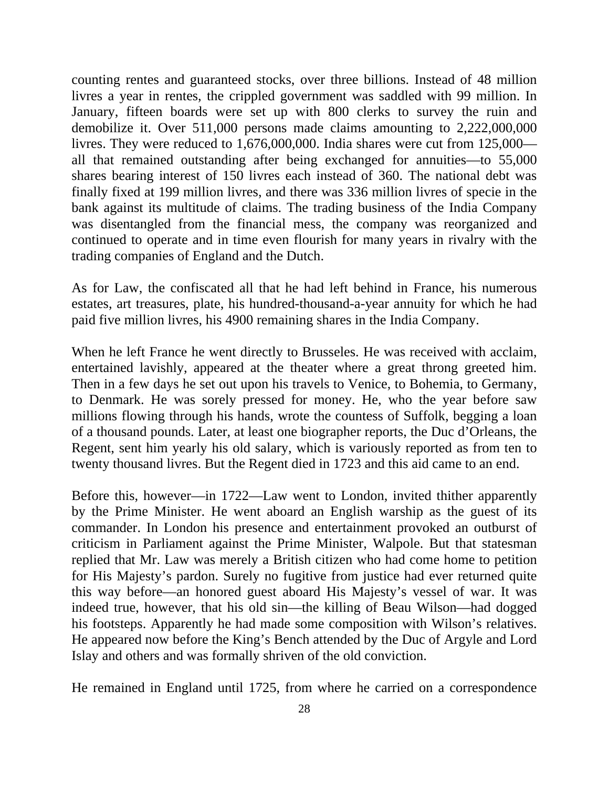counting rentes and guaranteed stocks, over three billions. Instead of 48 million livres a year in rentes, the crippled government was saddled with 99 million. In January, fifteen boards were set up with 800 clerks to survey the ruin and demobilize it. Over 511,000 persons made claims amounting to 2,222,000,000 livres. They were reduced to 1,676,000,000. India shares were cut from 125,000 all that remained outstanding after being exchanged for annuities—to 55,000 shares bearing interest of 150 livres each instead of 360. The national debt was finally fixed at 199 million livres, and there was 336 million livres of specie in the bank against its multitude of claims. The trading business of the India Company was disentangled from the financial mess, the company was reorganized and continued to operate and in time even flourish for many years in rivalry with the trading companies of England and the Dutch.

As for Law, the confiscated all that he had left behind in France, his numerous estates, art treasures, plate, his hundred-thousand-a-year annuity for which he had paid five million livres, his 4900 remaining shares in the India Company.

When he left France he went directly to Brusseles. He was received with acclaim, entertained lavishly, appeared at the theater where a great throng greeted him. Then in a few days he set out upon his travels to Venice, to Bohemia, to Germany, to Denmark. He was sorely pressed for money. He, who the year before saw millions flowing through his hands, wrote the countess of Suffolk, begging a loan of a thousand pounds. Later, at least one biographer reports, the Duc d'Orleans, the Regent, sent him yearly his old salary, which is variously reported as from ten to twenty thousand livres. But the Regent died in 1723 and this aid came to an end.

Before this, however—in 1722—Law went to London, invited thither apparently by the Prime Minister. He went aboard an English warship as the guest of its commander. In London his presence and entertainment provoked an outburst of criticism in Parliament against the Prime Minister, Walpole. But that statesman replied that Mr. Law was merely a British citizen who had come home to petition for His Majesty's pardon. Surely no fugitive from justice had ever returned quite this way before—an honored guest aboard His Majesty's vessel of war. It was indeed true, however, that his old sin—the killing of Beau Wilson—had dogged his footsteps. Apparently he had made some composition with Wilson's relatives. He appeared now before the King's Bench attended by the Duc of Argyle and Lord Islay and others and was formally shriven of the old conviction.

He remained in England until 1725, from where he carried on a correspondence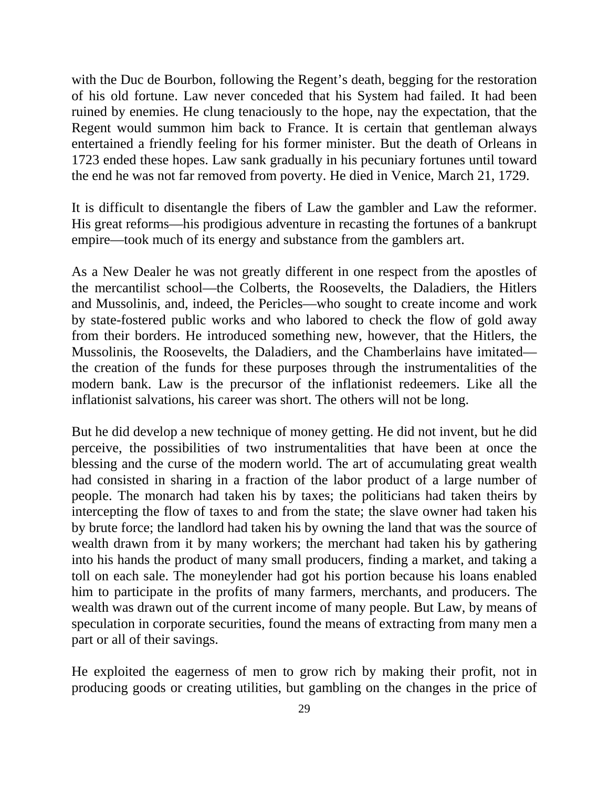with the Duc de Bourbon, following the Regent's death, begging for the restoration of his old fortune. Law never conceded that his System had failed. It had been ruined by enemies. He clung tenaciously to the hope, nay the expectation, that the Regent would summon him back to France. It is certain that gentleman always entertained a friendly feeling for his former minister. But the death of Orleans in 1723 ended these hopes. Law sank gradually in his pecuniary fortunes until toward the end he was not far removed from poverty. He died in Venice, March 21, 1729.

It is difficult to disentangle the fibers of Law the gambler and Law the reformer. His great reforms—his prodigious adventure in recasting the fortunes of a bankrupt empire—took much of its energy and substance from the gamblers art.

As a New Dealer he was not greatly different in one respect from the apostles of the mercantilist school—the Colberts, the Roosevelts, the Daladiers, the Hitlers and Mussolinis, and, indeed, the Pericles—who sought to create income and work by state-fostered public works and who labored to check the flow of gold away from their borders. He introduced something new, however, that the Hitlers, the Mussolinis, the Roosevelts, the Daladiers, and the Chamberlains have imitated the creation of the funds for these purposes through the instrumentalities of the modern bank. Law is the precursor of the inflationist redeemers. Like all the inflationist salvations, his career was short. The others will not be long.

But he did develop a new technique of money getting. He did not invent, but he did perceive, the possibilities of two instrumentalities that have been at once the blessing and the curse of the modern world. The art of accumulating great wealth had consisted in sharing in a fraction of the labor product of a large number of people. The monarch had taken his by taxes; the politicians had taken theirs by intercepting the flow of taxes to and from the state; the slave owner had taken his by brute force; the landlord had taken his by owning the land that was the source of wealth drawn from it by many workers; the merchant had taken his by gathering into his hands the product of many small producers, finding a market, and taking a toll on each sale. The moneylender had got his portion because his loans enabled him to participate in the profits of many farmers, merchants, and producers. The wealth was drawn out of the current income of many people. But Law, by means of speculation in corporate securities, found the means of extracting from many men a part or all of their savings.

He exploited the eagerness of men to grow rich by making their profit, not in producing goods or creating utilities, but gambling on the changes in the price of